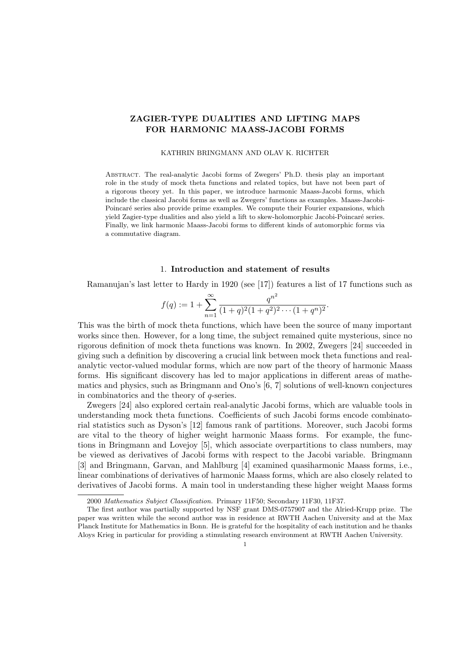# ZAGIER-TYPE DUALITIES AND LIFTING MAPS FOR HARMONIC MAASS-JACOBI FORMS

#### KATHRIN BRINGMANN AND OLAV K. RICHTER

Abstract. The real-analytic Jacobi forms of Zwegers' Ph.D. thesis play an important role in the study of mock theta functions and related topics, but have not been part of a rigorous theory yet. In this paper, we introduce harmonic Maass-Jacobi forms, which include the classical Jacobi forms as well as Zwegers' functions as examples. Maass-Jacobi-Poincaré series also provide prime examples. We compute their Fourier expansions, which yield Zagier-type dualities and also yield a lift to skew-holomorphic Jacobi-Poincaré series. Finally, we link harmonic Maass-Jacobi forms to different kinds of automorphic forms via a commutative diagram.

### 1. Introduction and statement of results

Ramanujan's last letter to Hardy in 1920 (see [17]) features a list of 17 functions such as

$$
f(q) := 1 + \sum_{n=1}^{\infty} \frac{q^{n^2}}{(1+q)^2(1+q^2)^2 \cdots (1+q^n)^2}.
$$

This was the birth of mock theta functions, which have been the source of many important works since then. However, for a long time, the subject remained quite mysterious, since no rigorous definition of mock theta functions was known. In 2002, Zwegers [24] succeeded in giving such a definition by discovering a crucial link between mock theta functions and realanalytic vector-valued modular forms, which are now part of the theory of harmonic Maass forms. His significant discovery has led to major applications in different areas of mathematics and physics, such as Bringmann and Ono's  $[6, 7]$  solutions of well-known conjectures in combinatorics and the theory of q-series.

Zwegers [24] also explored certain real-analytic Jacobi forms, which are valuable tools in understanding mock theta functions. Coefficients of such Jacobi forms encode combinatorial statistics such as Dyson's [12] famous rank of partitions. Moreover, such Jacobi forms are vital to the theory of higher weight harmonic Maass forms. For example, the functions in Bringmann and Lovejoy [5], which associate overpartitions to class numbers, may be viewed as derivatives of Jacobi forms with respect to the Jacobi variable. Bringmann [3] and Bringmann, Garvan, and Mahlburg [4] examined quasiharmonic Maass forms, i.e., linear combinations of derivatives of harmonic Maass forms, which are also closely related to derivatives of Jacobi forms. A main tool in understanding these higher weight Maass forms

<sup>2000</sup> Mathematics Subject Classification. Primary 11F50; Secondary 11F30, 11F37.

The first author was partially supported by NSF grant DMS-0757907 and the Alried-Krupp prize. The paper was written while the second author was in residence at RWTH Aachen University and at the Max Planck Institute for Mathematics in Bonn. He is grateful for the hospitality of each institution and he thanks Aloys Krieg in particular for providing a stimulating research environment at RWTH Aachen University.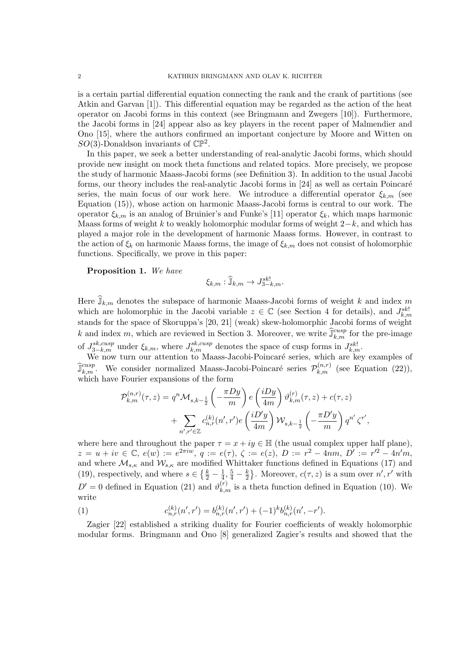is a certain partial differential equation connecting the rank and the crank of partitions (see Atkin and Garvan [1]). This differential equation may be regarded as the action of the heat operator on Jacobi forms in this context (see Bringmann and Zwegers [10]). Furthermore, the Jacobi forms in [24] appear also as key players in the recent paper of Malmendier and Ono [15], where the authors confirmed an important conjecture by Moore and Witten on  $SO(3)$ -Donaldson invariants of  $\mathbb{CP}^2$ .

In this paper, we seek a better understanding of real-analytic Jacobi forms, which should provide new insight on mock theta functions and related topics. More precisely, we propose the study of harmonic Maass-Jacobi forms (see Definition 3). In addition to the usual Jacobi forms, our theory includes the real-analytic Jacobi forms in [24] as well as certain Poincaré series, the main focus of our work here. We introduce a differential operator  $\xi_{k,m}$  (see Equation (15)), whose action on harmonic Maass-Jacobi forms is central to our work. The operator  $\xi_{k,m}$  is an analog of Bruinier's and Funke's [11] operator  $\xi_k$ , which maps harmonic Maass forms of weight k to weakly holomorphic modular forms of weight  $2-k$ , and which has played a major role in the development of harmonic Maass forms. However, in contrast to the action of  $\xi_k$  on harmonic Maass forms, the image of  $\xi_{k,m}$  does not consist of holomorphic functions. Specifically, we prove in this paper:

# Proposition 1. We have

$$
\xi_{k,m}:\widehat{\mathbb{J}}_{k,m}\to J^{sk!}_{3-k,m}.
$$

Here  $\widehat{J}_{k,m}$  denotes the subspace of harmonic Maass-Jacobi forms of weight k and index m which are holomorphic in the Jacobi variable  $z \in \mathbb{C}$  (see Section 4 for details), and  $J_{k,m}^{sk!}$ stands for the space of Skoruppa's [20, 21] (weak) skew-holomorphic Jacobi forms of weight k and index m, which are reviewed in Section 3. Moreover, we write  $\hat{\mathbb{J}}_{k,m}^{cusp}$  for the pre-image of  $J_{3-k,m}^{sk,cusp}$  under  $\xi_{k,m}$ , where  $J_{k,m}^{sk,cusp}$  denotes the space of cusp forms in  $J_{k,m}^{sk!}$ .

We now turn our attention to Maass-Jacobi-Poincaré series, which are key examples of  $\widehat{J}_{k,m}^{cusp}$ . We consider normalized Maass-Jacobi-Poincaré series  $\mathcal{P}_{k,m}^{(n,r)}$  (see Equation (22)), which have Fourier expansions of the form

$$
\mathcal{P}_{k,m}^{(n,r)}(\tau,z) = q^n \mathcal{M}_{s,k-\frac{1}{2}}\left(-\frac{\pi D y}{m}\right) e\left(\frac{i D y}{4m}\right) \vartheta_{k,m}^{(r)}(\tau,z) + c(\tau,z) \n+ \sum_{n',r' \in \mathbb{Z}} c_{n,r}^{(k)}(n',r') e\left(\frac{i D' y}{4m}\right) \mathcal{W}_{s,k-\frac{1}{2}}\left(-\frac{\pi D' y}{m}\right) q^{n'} \zeta^{r'},
$$

where here and throughout the paper  $\tau = x + iy \in \mathbb{H}$  (the usual complex upper half plane),  $z = u + iv \in \mathbb{C}, e(w) := e^{2\pi i w}, q := e(\tau), \zeta := e(z), D := r^2 - 4nm, D' := r'^2 - 4n'm,$ and where  $\mathcal{M}_{s,\kappa}$  and  $\mathcal{W}_{s,\kappa}$  are modified Whittaker functions defined in Equations (17) and (19), respectively, and where  $s \in \left\{\frac{k}{2} - \frac{1}{4}\right\}$  $\frac{1}{4}, \frac{5}{4} - \frac{k}{2}$  $\frac{k}{2}$ . Moreover,  $c(\tau, z)$  is a sum over  $n', r'$  with  $D' = 0$  defined in Equation (21) and  $\vartheta_{k,m}^{(r)}$  is a theta function defined in Equation (10). We write

(1) 
$$
c_{n,r}^{(k)}(n',r') = b_{n,r}^{(k)}(n',r') + (-1)^k b_{n,r}^{(k)}(n',-r').
$$

Zagier [22] established a striking duality for Fourier coefficients of weakly holomorphic modular forms. Bringmann and Ono [8] generalized Zagier's results and showed that the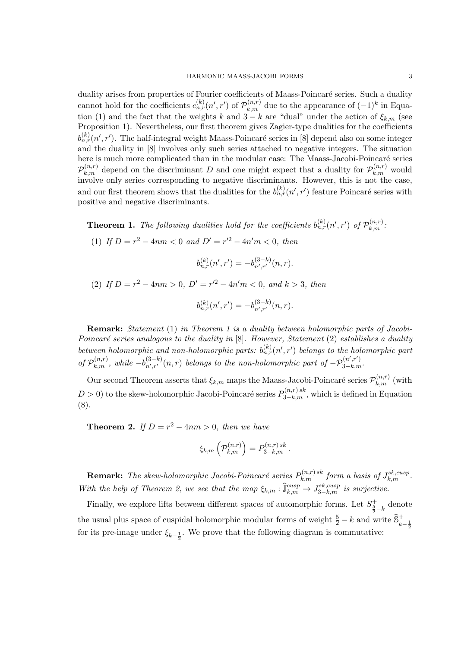duality arises from properties of Fourier coefficients of Maass-Poincaré series. Such a duality cannot hold for the coefficients  $c_{n,r}^{(k)}(n',r')$  of  $\mathcal{P}_{k,m}^{(n,r)}$  due to the appearance of  $(-1)^k$  in Equation (1) and the fact that the weights k and  $3 - k$  are "dual" under the action of  $\xi_{k,m}$  (see Proposition 1). Nevertheless, our first theorem gives Zagier-type dualities for the coefficients  $b_{n,r}^{(k)}(n',r')$ . The half-integral weight Maass-Poincaré series in [8] depend also on some integer and the duality in [8] involves only such series attached to negative integers. The situation here is much more complicated than in the modular case: The Maass-Jacobi-Poincaré series  $\mathcal{P}_{k,m}^{(n,r)}$  depend on the discriminant D and one might expect that a duality for  $\mathcal{P}_{k,m}^{(n,r)}$  would involve only series corresponding to negative discriminants. However, this is not the case, and our first theorem shows that the dualities for the  $b_{n,r}^{(k)}(n',r')$  feature Poincaré series with positive and negative discriminants.

**Theorem 1.** The following dualities hold for the coefficients  $b_{n,r}^{(k)}(n',r')$  of  $\mathcal{P}_{k,m}^{(n,r)}$ .

(1) If  $D = r^2 - 4nm < 0$  and  $D' = r'^2 - 4n'm < 0$ , then

$$
b_{n,r}^{(k)}(n',r') = -b_{n',r'}^{(3-k)}(n,r).
$$

(2) If  $D = r^2 - 4nm > 0$ ,  $D' = r'^2 - 4n'm < 0$ , and  $k > 3$ , then

$$
b_{n,r}^{(k)}(n',r') = -b_{n',r'}^{(3-k)}(n,r).
$$

Remark: Statement (1) in Theorem 1 is a duality between holomorphic parts of Jacobi-Poincaré series analogous to the duality in  $[8]$ . However, Statement (2) establishes a duality between holomorphic and non-holomorphic parts:  $b_{n,r}^{(k)}(n',r')$  belongs to the holomorphic part of  $\mathcal{P}_{k,m}^{(n,r)}$ , while  $-b_{n',r'}^{(3-k)}$  $\int_{n',r'}^{(3-k)}(n,r)$  belongs to the non-holomorphic part of  $-\mathcal{P}_{3-k,m}^{(n',r')}$ .

Our second Theorem asserts that  $\xi_{k,m}$  maps the Maass-Jacobi-Poincaré series  $\mathcal{P}_{k,m}^{(n,r)}$  (with  $D > 0$ ) to the skew-holomorphic Jacobi-Poincaré series  $P_{3-k,m}^{(n,r)sk}$ , which is defined in Equation (8).

**Theorem 2.** If  $D = r^2 - 4nm > 0$ , then we have

$$
\xi_{k,m}\left(\mathcal{P}_{k,m}^{(n,r)}\right)=P_{3-k,m}^{(n,r)\,sk}.
$$

**Remark:** The skew-holomorphic Jacobi-Poincaré series  $P_{k,m}^{(n,r) \, sk}$  form a basis of  $J_{k,m}^{sk,cusp}$ . With the help of Theorem 2, we see that the map  $\xi_{k,m} : \hat{\mathbb{J}}_{k,m}^{cusp} \to J_{3-k,m}^{sk,cusp}$  is surjective.

Finally, we explore lifts between different spaces of automorphic forms. Let  $S_{\frac{5}{2}-k}^{+}$  denote the usual plus space of cuspidal holomorphic modular forms of weight  $\frac{5}{2} - k$  and write  $\widehat{\mathbb{S}}_{k-\frac{1}{2}}^+$ for its pre-image under  $\xi_{k-\frac{1}{2}}$ . We prove that the following diagram is commutative: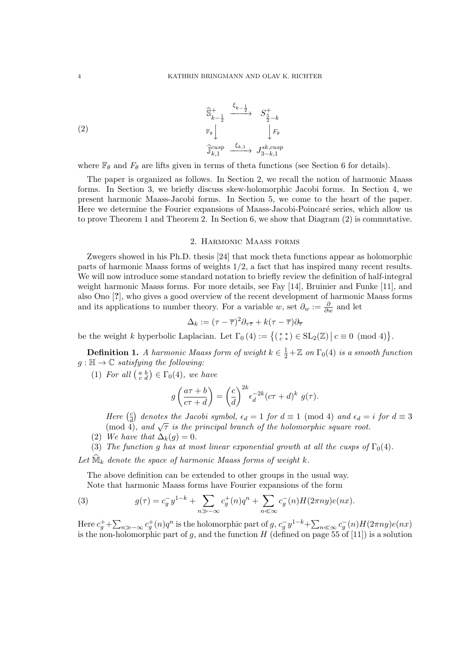(2)  

$$
\widehat{\mathbb{S}}_{k-\frac{1}{2}}^{+} \xrightarrow{\xi_{k-\frac{1}{2}}} S_{\frac{5}{2}-k}^{+}
$$

$$
\downarrow F_{\theta}
$$

$$
\widehat{\mathbb{J}}_{k,1}^{cusp} \xrightarrow{\xi_{k,1}} J_{3-k,1}^{sk,cusp}
$$

where  $\mathbb{F}_{\theta}$  and  $F_{\theta}$  are lifts given in terms of theta functions (see Section 6 for details).

The paper is organized as follows. In Section 2, we recall the notion of harmonic Maass forms. In Section 3, we briefly discuss skew-holomorphic Jacobi forms. In Section 4, we present harmonic Maass-Jacobi forms. In Section 5, we come to the heart of the paper. Here we determine the Fourier expansions of Maass-Jacobi-Poincaré series, which allow us to prove Theorem 1 and Theorem 2. In Section 6, we show that Diagram (2) is commutative.

#### 2. Harmonic Maass forms

Zwegers showed in his Ph.D. thesis [24] that mock theta functions appear as holomorphic parts of harmonic Maass forms of weights 1/2, a fact that has inspired many recent results. We will now introduce some standard notation to briefly review the definition of half-integral weight harmonic Maass forms. For more details, see Fay [14], Bruinier and Funke [11], and also Ono [?], who gives a good overview of the recent development of harmonic Maass forms and its applications to number theory. For a variable w, set  $\partial_w := \frac{\partial}{\partial w}$  and let

$$
\Delta_k := (\tau - \overline{\tau})^2 \partial_{\tau \overline{\tau}} + k(\tau - \overline{\tau}) \partial_{\overline{\tau}}
$$

be the weight k hyperbolic Laplacian. Let  $\Gamma_0(4) := \{(\begin{smallmatrix} * & * \\ c & * \end{smallmatrix}) \in SL_2(\mathbb{Z}) \mid c \equiv 0 \pmod{4} \}.$ 

**Definition 1.** A harmonic Maass form of weight  $k \in \frac{1}{2} + \mathbb{Z}$  on  $\Gamma_0(4)$  is a smooth function  $g: \mathbb{H} \to \mathbb{C}$  satisfying the following:

(1) For all  $\begin{pmatrix} a & b \\ c & d \end{pmatrix} \in \Gamma_0(4)$ , we have

$$
g\left(\frac{a\tau+b}{c\tau+d}\right) = \left(\frac{c}{d}\right)^{2k} \epsilon_d^{-2k} (c\tau+d)^k \ g(\tau).
$$

Here  $\left(\frac{c}{d}\right)$  $\frac{c}{d}$  denotes the Jacobi symbol,  $\epsilon_d = 1$  for  $d \equiv 1 \pmod{4}$  and  $\epsilon_d = i$  for  $d \equiv 3$ 

- There  $\begin{pmatrix} \frac{\pi}{d} \end{pmatrix}$  denotes the success symbol,  $\epsilon_d 1$  for  $a \equiv 1 \pmod{4}$ , and  $\epsilon_d 1$  (mod 4), and  $\sqrt{\tau}$  is the principal branch of the holomorphic square root.
- (2) We have that  $\Delta_k(q) = 0$ .
- (3) The function g has at most linear exponential growth at all the cusps of  $\Gamma_0(4)$ .

Let  $\widehat{\mathbb{M}}_k$  denote the space of harmonic Maass forms of weight k.

The above definition can be extended to other groups in the usual way. Note that harmonic Maass forms have Fourier expansions of the form

(3) 
$$
g(\tau) = c_g^{-} y^{1-k} + \sum_{n \gg -\infty} c_g^{+}(n) q^n + \sum_{n \ll \infty} c_g^{-}(n) H(2\pi n y) e(nx).
$$

Here  $c_g^+ + \sum_{n \gg -\infty} c_g^+(n)q^n$  is the holomorphic part of  $g$ ,  $c_g^- y^{1-k} + \sum_{n \ll \infty} c_g^-(n)H(2\pi ny)e(nx)$ is the non-holomorphic part of g, and the function H (defined on page 55 of [11]) is a solution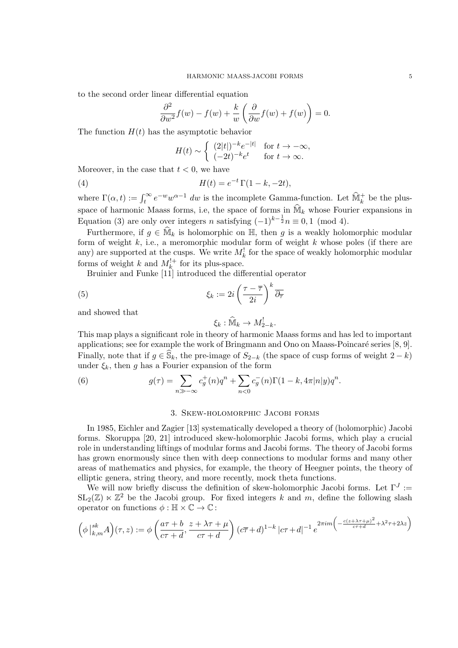to the second order linear differential equation

$$
\frac{\partial^2}{\partial w^2} f(w) - f(w) + \frac{k}{w} \left( \frac{\partial}{\partial w} f(w) + f(w) \right) = 0.
$$

The function  $H(t)$  has the asymptotic behavior

$$
H(t) \sim \begin{cases} (2|t|)^{-k} e^{-|t|} & \text{for } t \to -\infty, \\ (-2t)^{-k} e^t & \text{for } t \to \infty. \end{cases}
$$

Moreover, in the case that  $t < 0$ , we have

(4) 
$$
H(t) = e^{-t} \Gamma(1 - k, -2t),
$$

where  $\Gamma(\alpha, t) := \int_t^{\infty} e^{-w} w^{\alpha-1} dw$  is the incomplete Gamma-function. Let  $\widehat{\mathbb{M}}_k^+$  be the plusspace of harmonic Maass forms, i.e, the space of forms in  $\widehat{M}_k$  whose Fourier expansions in Equation (3) are only over integers n satisfying  $(-1)^{k-\frac{1}{2}}n \equiv 0, 1 \pmod{4}$ .

Furthermore, if  $g \in \widehat{\mathbb{M}}_k$  is holomorphic on  $\mathbb{H}$ , then g is a weakly holomorphic modular form of weight  $k$ , i.e., a meromorphic modular form of weight  $k$  whose poles (if there are any) are supported at the cusps. We write  $M_k^!$  for the space of weakly holomorphic modular forms of weight k and  $M_k^{!+}$  for its plus-space.

Bruinier and Funke [11] introduced the differential operator

(5) 
$$
\xi_k := 2i \left( \frac{\tau - \overline{\tau}}{2i} \right)^k \overline{\partial_{\overline{\tau}}}
$$

and showed that

$$
\xi_k : \widehat{\mathbb{M}}_k \to M_{2-k}^!
$$

This map plays a significant role in theory of harmonic Maass forms and has led to important applications; see for example the work of Bringmann and Ono on Maass-Poincaré series  $[8, 9]$ . Finally, note that if  $g \in \widehat{S}_k$ , the pre-image of  $S_{2-k}$  (the space of cusp forms of weight  $2-k$ ) under  $\xi_k$ , then g has a Fourier expansion of the form

(6) 
$$
g(\tau) = \sum_{n \gg -\infty} c_g^+(n)q^n + \sum_{n < 0} c_g^-(n)\Gamma(1-k, 4\pi|n|y)q^n.
$$

# 3. Skew-holomorphic Jacobi forms

In 1985, Eichler and Zagier [13] systematically developed a theory of (holomorphic) Jacobi forms. Skoruppa [20, 21] introduced skew-holomorphic Jacobi forms, which play a crucial role in understanding liftings of modular forms and Jacobi forms. The theory of Jacobi forms has grown enormously since then with deep connections to modular forms and many other areas of mathematics and physics, for example, the theory of Heegner points, the theory of elliptic genera, string theory, and more recently, mock theta functions.

We will now briefly discuss the definition of skew-holomorphic Jacobi forms. Let  $\Gamma^J :=$  $SL_2(\mathbb{Z}) \ltimes \mathbb{Z}^2$  be the Jacobi group. For fixed integers k and m, define the following slash operator on functions  $\phi : \mathbb{H} \times \mathbb{C} \to \mathbb{C}$ :

$$
\left(\phi\left|_{k,m}^{sk}A\right)(\tau,z):=\phi\left(\frac{a\tau+b}{c\tau+d},\frac{z+\lambda\tau+\mu}{c\tau+d}\right)(c\overline{\tau}+d)^{1-k}|c\tau+d|^{-1}e^{2\pi im\left(-\frac{c(z+\lambda\tau+\mu)^2}{c\tau+d}+\lambda^2\tau+2\lambda z\right)}
$$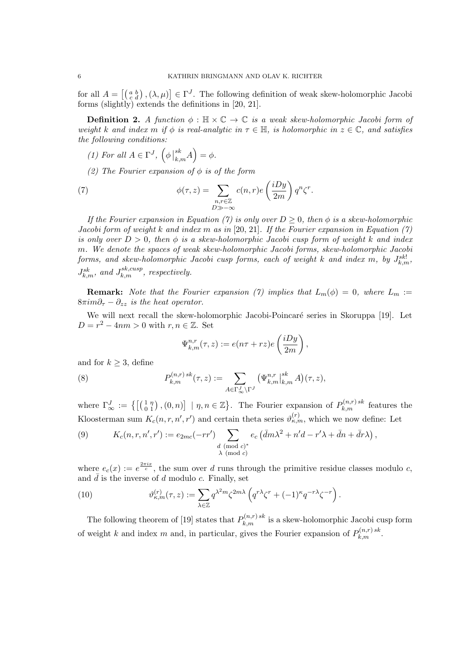for all  $A = \left[ \begin{pmatrix} a & b \\ c & d \end{pmatrix}, (\lambda, \mu) \right] \in \Gamma^J$ . The following definition of weak skew-holomorphic Jacobi forms (slightly) extends the definitions in [20, 21].

**Definition 2.** A function  $\phi : \mathbb{H} \times \mathbb{C} \to \mathbb{C}$  is a weak skew-holomorphic Jacobi form of weight k and index m if  $\phi$  is real-analytic in  $\tau \in \mathbb{H}$ , is holomorphic in  $z \in \mathbb{C}$ , and satisfies the following conditions:

- (1) For all  $A \in \Gamma^J$ ,  $\left(\phi \mid \mathcal{L}\right)$  ${s k \choose k,m} A = \phi.$
- (2) The Fourier expansion of  $\phi$  is of the form

(7) 
$$
\phi(\tau, z) = \sum_{\substack{n, r \in \mathbb{Z} \\ D \gg -\infty}} c(n, r) e\left(\frac{iDy}{2m}\right) q^n \zeta^r.
$$

If the Fourier expansion in Equation (7) is only over  $D \geq 0$ , then  $\phi$  is a skew-holomorphic Jacobi form of weight k and index m as in [20, 21]. If the Fourier expansion in Equation (7) is only over  $D > 0$ , then  $\phi$  is a skew-holomorphic Jacobi cusp form of weight k and index m. We denote the spaces of weak skew-holomorphic Jacobi forms, skew-holomorphic Jacobi forms, and skew-holomorphic Jacobi cusp forms, each of weight  $k$  and index  $m$ , by  $J_{k,m}^{sk!}$ ,  $J_{k,m}^{sk}$ , and  $J_{k,m}^{sk,cusp}$ , respectively.

**Remark:** Note that the Fourier expansion (7) implies that  $L_m(\phi) = 0$ , where  $L_m :=$  $8\pi im\partial_{\tau} - \partial_{zz}$  is the heat operator.

We will next recall the skew-holomorphic Jacobi-Poincaré series in Skoruppa [19]. Let  $D = r^2 - 4nm > 0$  with  $r, n \in \mathbb{Z}$ . Set

$$
\Psi_{k,m}^{n,r}(\tau,z) := e(n\tau + rz)e\left(\frac{iDy}{2m}\right),\,
$$

and for  $k \geq 3$ , define

(8) 
$$
P_{k,m}^{(n,r)\,sk}(\tau,z) := \sum_{A \in \Gamma_{\infty}^J \backslash \Gamma^J} \left( \Psi_{k,m}^{n,r} \big|_{k,m}^{sk} A \right) (\tau,z),
$$

where  $\Gamma_{\infty}^{J} := \left\{ \begin{bmatrix} \begin{pmatrix} 1 & \eta \\ 0 & 1 \end{pmatrix}, (0, n) \end{bmatrix} \mid \eta, n \in \mathbb{Z} \right\}$ . The Fourier expansion of  $P_{k,m}^{(n,r)sk}$  features the Kloosterman sum  $K_c(n,r,n',r')$  and certain theta series  $\vartheta_{\kappa,m}^{(r)}$ , which we now define: Let

(9) 
$$
K_c(n,r,n',r') := e_{2mc}(-rr') \sum_{\substack{d \pmod{c}^* \\ \lambda \pmod{c}}} e_c (\bar{d}m\lambda^2 + n'd - r'\lambda + \bar{d}n + \bar{d}r\lambda),
$$

where  $e_c(x) := e^{\frac{2\pi ix}{c}}$ , the sum over d runs through the primitive residue classes modulo c, and  $\bar{d}$  is the inverse of d modulo c. Finally, set

(10) 
$$
\vartheta_{\kappa,m}^{(r)}(\tau,z) := \sum_{\lambda \in \mathbb{Z}} q^{\lambda^2 m} \zeta^{2m\lambda} \left( q^{r\lambda} \zeta^r + (-1)^{\kappa} q^{-r\lambda} \zeta^{-r} \right).
$$

The following theorem of [19] states that  $P_{k,m}^{(n,r)sk}$  is a skew-holomorphic Jacobi cusp form of weight k and index m and, in particular, gives the Fourier expansion of  $P_{k,m}^{(n,r)sk}$ .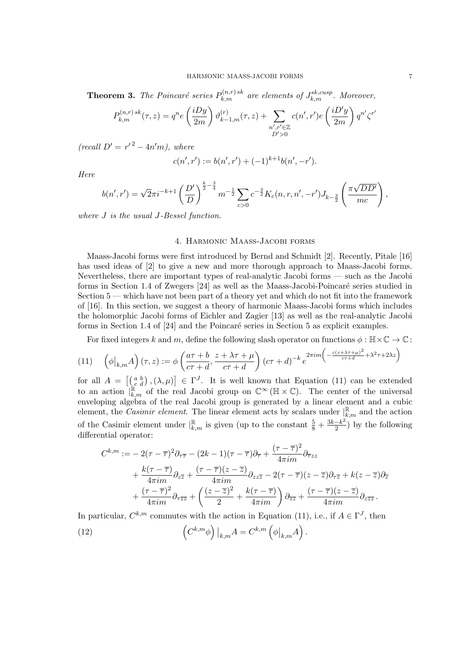**Theorem 3.** The Poincaré series  $P_{k,m}^{(n,r)sk}$  are elements of  $J_{k,m}^{sk,cusp}$ . Moreover,

$$
P_{k,m}^{(n,r)\,sk}(\tau,z)=q^n e\left(\frac{iDy}{2m}\right)\vartheta_{k-1,m}^{(r)}(\tau,z)+\sum_{\substack{n',r'\in\mathbb{Z}\\ D'>0}}c(n',r')e\left(\frac{iD'y}{2m}\right)q^{n'}\zeta^r
$$

 $(recall D' = r'^2 - 4n'm), where$ 

$$
c(n',r') := b(n',r') + (-1)^{k+1}b(n',-r').
$$

Here

$$
b(n',r') = \sqrt{2\pi i^{-k+1} \left(\frac{D'}{D}\right)^{\frac{k}{2}-\frac{3}{4}} m^{-\frac{1}{2}} \sum_{c>0} c^{-\frac{3}{2}} K_c(n,r,n',-r') J_{k-\frac{3}{2}}\left(\frac{\pi \sqrt{DD'}}{mc}\right),
$$

where J is the usual J-Bessel function.

# 4. Harmonic Maass-Jacobi forms

Maass-Jacobi forms were first introduced by Bernd and Schmidt [2]. Recently, Pitale [16] has used ideas of [2] to give a new and more thorough approach to Maass-Jacobi forms. Nevertheless, there are important types of real-analytic Jacobi forms — such as the Jacobi forms in Section 1.4 of Zwegers  $[24]$  as well as the Maass-Jacobi-Poincaré series studied in Section 5 — which have not been part of a theory yet and which do not fit into the framework of [16]. In this section, we suggest a theory of harmonic Maass-Jacobi forms which includes the holomorphic Jacobi forms of Eichler and Zagier [13] as well as the real-analytic Jacobi forms in Section 1.4 of  $[24]$  and the Poincaré series in Section 5 as explicit examples.

For fixed integers k and m, define the following slash operator on functions  $\phi : \mathbb{H} \times \mathbb{C} \to \mathbb{C}$ :

$$
(11) \quad \left(\phi\big|_{k,m}A\right)(\tau,z) := \phi\left(\frac{a\tau+b}{c\tau+d}, \frac{z+\lambda\tau+\mu}{c\tau+d}\right)(c\tau+d)^{-k}e^{2\pi im\left(-\frac{c(z+\lambda\tau+\mu)^2}{c\tau+d} + \lambda^2\tau + 2\lambda z\right)}
$$

for all  $A = \begin{bmatrix} \begin{pmatrix} a & b \\ c & d \end{pmatrix}, (\lambda, \mu) \end{bmatrix} \in \Gamma^J$ . It is well known that Equation (11) can be extended to an action  $\Big|_{k,m}^{\mathbb{R}}$  of the real Jacobi group on  $\mathbb{C}^{\infty}(\mathbb{H}\times\mathbb{C})$ . The center of the universal enveloping algebra of the real Jacobi group is generated by a linear element and a cubic element, the *Casimir element*. The linear element acts by scalars under  $\vert_{k,m}^{\mathbb{R}}$  and the action of the Casimir element under  $\vert_{k,m}^{\mathbb{R}}$  is given (up to the constant  $\frac{5}{8} + \frac{3k-k^2}{2}$  $\frac{-k^2}{2}$ ) by the following differential operator:

$$
C^{k,m} := -2(\tau - \overline{\tau})^2 \partial_{\tau \overline{\tau}} - (2k - 1)(\tau - \overline{\tau})\partial_{\overline{\tau}} + \frac{(\tau - \overline{\tau})^2}{4\pi im} \partial_{\overline{\tau}zz} + \frac{k(\tau - \overline{\tau})}{4\pi im} \partial_{z\overline{z}} + \frac{(\tau - \overline{\tau})(z - \overline{z})}{4\pi im} \partial_{zz\overline{z}} - 2(\tau - \overline{\tau})(z - \overline{z})\partial_{\tau \overline{z}} + k(z - \overline{z})\partial_{\overline{z}} + \frac{(\tau - \overline{\tau})^2}{4\pi im} \partial_{\tau \overline{z}} + \left(\frac{(z - \overline{z})^2}{2} + \frac{k(\tau - \overline{\tau})}{4\pi im}\right) \partial_{\overline{z}} + \frac{(\tau - \overline{\tau})(z - \overline{z})}{4\pi im} \partial_{z\overline{z}}.
$$

In particular,  $C^{k,m}$  commutes with the action in Equation (11), i.e., if  $A \in \Gamma^J$ , then  $(12)$  $C^{k,m} \phi$   $\Big) \Big|_{k,m} A = C^{k,m} \left( \phi \big|_{k,m} A \right)$ .

 $\overline{\phantom{a}}$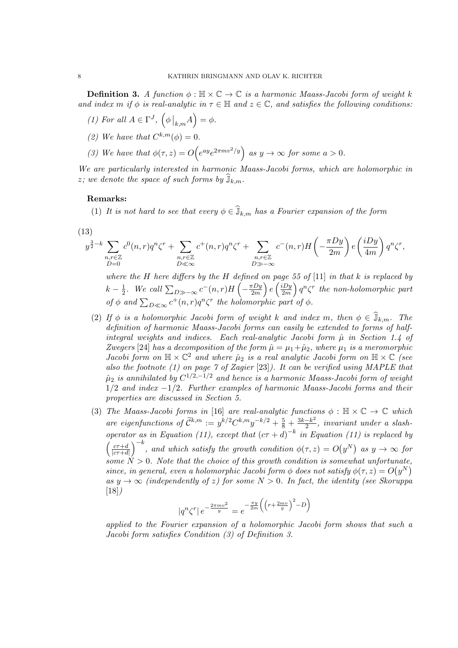**Definition 3.** A function  $\phi : \mathbb{H} \times \mathbb{C} \to \mathbb{C}$  is a harmonic Maass-Jacobi form of weight k and index m if  $\phi$  is real-analytic in  $\tau \in \mathbb{H}$  and  $z \in \mathbb{C}$ , and satisfies the following conditions:

- (1) For all  $A \in \Gamma^J$ ,  $(\phi \big|_{k,m} A) = \phi$ .
- (2) We have that  $C^{k,m}(\phi) = 0$ .
- (3) We have that  $\phi(\tau, z) = O(e^{ay}e^{2\pi m v^2/y})$  as  $y \to \infty$  for some  $a > 0$ .

We are particularly interested in harmonic Maass-Jacobi forms, which are holomorphic in z; we denote the space of such forms by  $\widehat{J}_{k,m}$ .

#### Remarks:

(1) It is not hard to see that every  $\phi \in \mathbb{J}_{k,m}$  has a Fourier expansion of the form

$$
(13)
$$

$$
y^{\frac{3}{2}-k} \sum_{\substack{n,r \in \mathbb{Z} \\ D=0}} c^0(n,r) q^n \zeta^r + \sum_{\substack{n,r \in \mathbb{Z} \\ D \ll \infty}} c^+(n,r) q^n \zeta^r + \sum_{\substack{n,r \in \mathbb{Z} \\ D \gg -\infty}} c^-(n,r) H\left(-\frac{\pi Dy}{2m}\right) e\left(\frac{iDy}{4m}\right) q^n \zeta^r,
$$

where the H here differs by the H defined on page 55 of  $[11]$  in that k is replaced by  $k-\frac{1}{2}$  $\frac{1}{2}$ . We call  $\sum_{D\gg-\infty} c^{-}(n,r)H\left(-\frac{\pi Dy}{2m}\right)$  $\left(\frac{iDy}{2m}\right)e\left(\frac{iDy}{2m}\right)$  $\left(\frac{dDy}{2m}\right)q^n\zeta^r$  the non-holomorphic part of  $\phi$  and  $\sum_{D \ll \infty} c^+(n,r)q^n \zeta^r$  the holomorphic part of  $\phi$ .

- (2) If  $\phi$  is a holomorphic Jacobi form of weight k and index m, then  $\phi \in \mathbb{J}_{k,m}$ . The definition of harmonic Maass-Jacobi forms can easily be extended to forms of halfintegral weights and indices. Each real-analytic Jacobi form  $\hat{\mu}$  in Section 1.4 of Zwegers [24] has a decomposition of the form  $\hat{\mu} = \mu_1 + \hat{\mu}_2$ , where  $\mu_1$  is a meromorphic Jacobi form on  $\mathbb{H} \times \mathbb{C}^2$  and where  $\hat{\mu}_2$  is a real analytic Jacobi form on  $\mathbb{H} \times \mathbb{C}$  (see also the footnote (1) on page 7 of Zagier [23]). It can be verified using MAPLE that  $\hat{\mu}_2$  is annihilated by  $C^{1/2,-1/2}$  and hence is a harmonic Maass-Jacobi form of weight  $1/2$  and index  $-1/2$ . Further examples of harmonic Maass-Jacobi forms and their properties are discussed in Section 5.
- (3) The Maass-Jacobi forms in [16] are real-analytic functions  $\phi : \mathbb{H} \times \mathbb{C} \to \mathbb{C}$  which are eigenfunctions of  $\widetilde{\mathcal{C}}^{k,m} := y^{k/2} C^{k,m} y^{-k/2} + \frac{5}{8} + \frac{3k-k^2}{2}$  $\frac{-\kappa^2}{2}$ , invariant under a slashoperator as in Equation (11), except that  $(c\tau + d)^{-k}$  in Equation (11) is replaced by  $\int \frac{c\tau+d}{\tau}$  $\frac{c\tau+d}{|c\tau+d|}$ , and which satisfy the growth condition  $\phi(\tau,z) = O(y^N)$  as  $y \to \infty$  for some  $N > 0$ . Note that the choice of this growth condition is somewhat unfortunate, since, in general, even a holomorphic Jacobi form  $\phi$  does not satisfy  $\phi(\tau, z) = O(y^N)$ as  $y \to \infty$  (independently of z) for some  $N > 0$ . In fact, the identity (see Skoruppa [18])

$$
|q^n \zeta^r| e^{-\frac{2\pi m v^2}{y}} = e^{-\frac{\pi y}{2m} \left( \left( r + \frac{2m v}{y} \right)^2 - D \right)}
$$

applied to the Fourier expansion of a holomorphic Jacobi form shows that such a Jacobi form satisfies Condition (3) of Definition 3.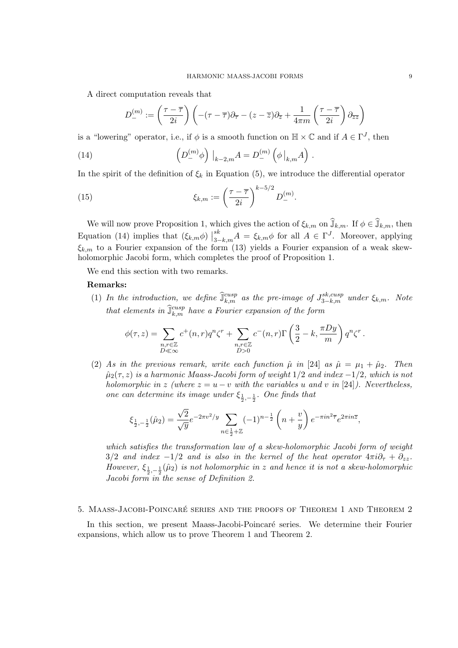A direct computation reveals that

$$
D_{-}^{(m)} := \left(\frac{\tau - \overline{\tau}}{2i}\right) \left( -(\tau - \overline{\tau})\partial_{\overline{\tau}} - (z - \overline{z})\partial_{\overline{z}} + \frac{1}{4\pi m} \left(\frac{\tau - \overline{\tau}}{2i}\right) \partial_{\overline{z}} z \right)
$$

is a "lowering" operator, i.e., if  $\phi$  is a smooth function on  $\mathbb{H} \times \mathbb{C}$  and if  $A \in \Gamma^J$ , then

(14) 
$$
\left(D_{-}^{(m)}\phi\right)\big|_{k-2,m}A=D_{-}^{(m)}\left(\phi\big|_{k,m}A\right).
$$

In the spirit of the definition of  $\xi_k$  in Equation (5), we introduce the differential operator

(15) 
$$
\xi_{k,m} := \left(\frac{\tau - \overline{\tau}}{2i}\right)^{k - 5/2} D_{-}^{(m)}.
$$

We will now prove Proposition 1, which gives the action of  $\xi_{k,m}$  on  $\widehat{J}_{k,m}$ . If  $\phi \in \widehat{J}_{k,m}$ , then Equation (14) implies that  $(\xi_{k,m}\phi)$  $s_{3-k,m}^k A = \xi_{k,m} \phi$  for all  $A \in \Gamma^J$ . Moreover, applying  $\xi_{k,m}$  to a Fourier expansion of the form (13) yields a Fourier expansion of a weak skewholomorphic Jacobi form, which completes the proof of Proposition 1.

We end this section with two remarks.

# Remarks:

(1) In the introduction, we define  $\hat{\mathbb{J}}_{k,m}^{cusp}$  as the pre-image of  $J_{3-k,m}^{sk,cusp}$  under  $\xi_{k,m}$ . Note that elements in  $\widehat{\mathbb{J}}_{k,m}^{cusp}$  have a Fourier expansion of the form

$$
\phi(\tau,z) = \sum_{\substack{n,r \in \mathbb{Z} \\ D \ll \infty}} c^+(n,r)q^n \zeta^r + \sum_{\substack{n,r \in \mathbb{Z} \\ D > 0}} c^-(n,r) \Gamma\left(\frac{3}{2} - k, \frac{\pi D y}{m}\right) q^n \zeta^r.
$$

(2) As in the previous remark, write each function  $\hat{\mu}$  in [24] as  $\hat{\mu} = \mu_1 + \hat{\mu}_2$ . Then  $\hat{\mu}_2(\tau, z)$  is a harmonic Maass-Jacobi form of weight  $1/2$  and index  $-1/2$ , which is not holomorphic in z (where  $z = u - v$  with the variables u and v in [24]). Nevertheless, one can determine its image under  $\xi_{\frac{1}{2},-\frac{1}{2}}$ . One finds that

$$
\xi_{\frac{1}{2},-\frac{1}{2}}(\hat{\mu}_2) = \frac{\sqrt{2}}{\sqrt{y}} e^{-2\pi v^2/y} \sum_{n \in \frac{1}{2} + \mathbb{Z}} (-1)^{n-\frac{1}{2}} \left( n + \frac{v}{y} \right) e^{-\pi i n^2 \overline{\tau}} e^{2\pi i n \overline{z}},
$$

which satisfies the transformation law of a skew-holomorphic Jacobi form of weight  $3/2$  and index  $-1/2$  and is also in the kernel of the heat operator  $4\pi i \partial_{\tau} + \partial_{zz}$ . However,  $\xi_{\frac{1}{2},-\frac{1}{2}}(\hat{\mu}_2)$  is not holomorphic in z and hence it is not a skew-holomorphic Jacobi form in the sense of Definition 2.

#### 5. MAASS-JACOBI-POINCARÉ SERIES AND THE PROOFS OF THEOREM 1 AND THEOREM 2

In this section, we present Maass-Jacobi-Poincaré series. We determine their Fourier expansions, which allow us to prove Theorem 1 and Theorem 2.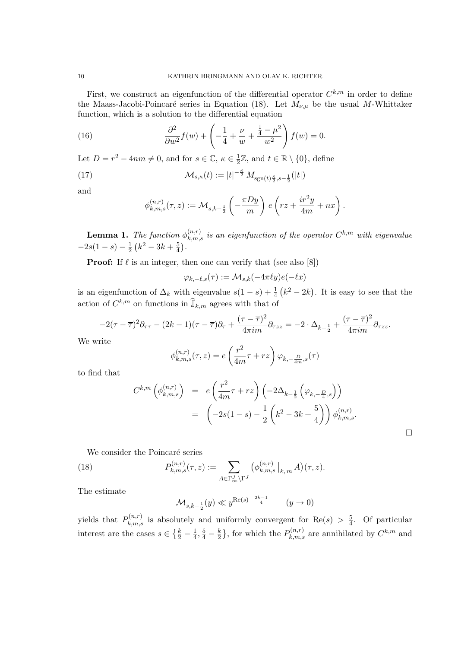First, we construct an eigenfunction of the differential operator  $C^{k,m}$  in order to define the Maass-Jacobi-Poincaré series in Equation (18). Let  $M_{\nu,\mu}$  be the usual M-Whittaker function, which is a solution to the differential equation

(16) 
$$
\frac{\partial^2}{\partial w^2} f(w) + \left( -\frac{1}{4} + \frac{\nu}{w} + \frac{\frac{1}{4} - \mu^2}{w^2} \right) f(w) = 0.
$$

Let  $D = r^2 - 4nm \neq 0$ , and for  $s \in \mathbb{C}, \kappa \in \frac{1}{2}$  $\frac{1}{2}\mathbb{Z}$ , and  $t \in \mathbb{R} \setminus \{0\}$ , define

(17) 
$$
\mathcal{M}_{s,\kappa}(t) := |t|^{-\frac{\kappa}{2}} M_{\text{sgn}(t)\frac{\kappa}{2}, s-\frac{1}{2}}(|t|)
$$

and

$$
\phi_{k,m,s}^{(n,r)}(\tau,z) := \mathcal{M}_{s,k-\frac{1}{2}}\left(-\frac{\pi D y}{m}\right) e\left(rz + \frac{ir^2y}{4m} + nx\right).
$$

**Lemma 1.** The function  $\phi_{k,m,s}^{(n,r)}$  is an eigenfunction of the operator  $C^{k,m}$  with eigenvalue  $-2s(1-s) - \frac{1}{2}$  $\frac{1}{2}(k^2-3k+\frac{5}{4})$  $\frac{5}{4}$ .

**Proof:** If  $\ell$  is an integer, then one can verify that (see also [8])

$$
\varphi_{k,-\ell,s}(\tau):=\mathcal{M}_{s,k}(-4\pi\ell y)e(-\ell x)
$$

is an eigenfunction of  $\Delta_k$  with eigenvalue  $s(1-s) + \frac{1}{4}(k^2-2k)$ . It is easy to see that the action of  $C^{k,m}$  on functions in  $\widehat{\mathbb{J}}_{k,m}$  agrees with that of

$$
-2(\tau-\overline{\tau})^2\partial_{\tau\overline{\tau}}-(2k-1)(\tau-\overline{\tau})\partial_{\overline{\tau}}+\frac{(\tau-\overline{\tau})^2}{4\pi im}\partial_{\overline{\tau}zz}=-2\cdot\Delta_{k-\frac{1}{2}}+\frac{(\tau-\overline{\tau})^2}{4\pi im}\partial_{\overline{\tau}zz}.
$$

We write

$$
\phi_{k,m,s}^{(n,r)}(\tau,z) = e\left(\frac{r^2}{4m}\tau + rz\right)\varphi_{k,-\frac{D}{4m},s}(\tau)
$$

to find that

$$
C^{k,m} \left( \phi_{k,m,s}^{(n,r)} \right) = e \left( \frac{r^2}{4m} \tau + rz \right) \left( -2\Delta_{k-\frac{1}{2}} \left( \varphi_{k,-\frac{D}{4},s} \right) \right)
$$
  
= 
$$
\left( -2s(1-s) - \frac{1}{2} \left( k^2 - 3k + \frac{5}{4} \right) \right) \phi_{k,m,s}^{(n,r)}.
$$

 $\Box$ 

We consider the Poincaré series

(18) 
$$
P_{k,m,s}^{(n,r)}(\tau,z) := \sum_{A \in \Gamma_{\infty}^J \backslash \Gamma^J} \left( \phi_{k,m,s}^{(n,r)} \big|_{k,m} A \right) (\tau,z).
$$

The estimate

$$
\mathcal{M}_{s,k-\frac{1}{2}}(y)\ll y^{\text{Re}(s)-\frac{2k-1}{4}}\qquad (y\rightarrow 0)
$$

yields that  $P_{k,m,s}^{(n,r)}$  is absolutely and uniformly convergent for  $\text{Re}(s) > \frac{5}{4}$  $\frac{5}{4}$ . Of particular interest are the cases  $s \in \left\{\frac{k}{2} - \frac{1}{4}\right\}$  $\frac{1}{4}, \frac{5}{4} - \frac{k}{2}$  $\frac{k}{2}$ , for which the  $P_{k,m,s}^{(n,r)}$  are annihilated by  $C^{k,m}$  and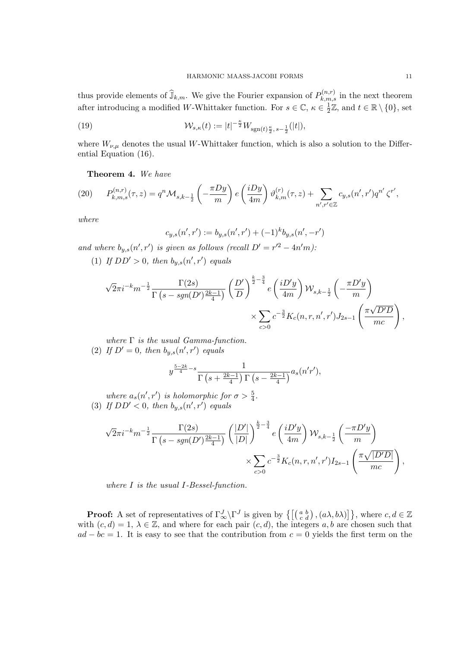thus provide elements of  $\widehat{\mathbb{J}}_{k,m}$ . We give the Fourier expansion of  $P_{k,m,s}^{(n,r)}$  in the next theorem after introducing a modified W-Whittaker function. For  $s \in \mathbb{C}$ ,  $\kappa \in \frac{1}{2}$  $\frac{1}{2}\mathbb{Z}$ , and  $t \in \mathbb{R} \setminus \{0\}$ , set

(19) 
$$
\mathcal{W}_{s,\kappa}(t) := |t|^{-\frac{\kappa}{2}} W_{\text{sgn}(t)\frac{\kappa}{2}, s-\frac{1}{2}}(|t|),
$$

where  $W_{\nu,\mu}$  denotes the usual W-Whittaker function, which is also a solution to the Differential Equation (16).

Theorem 4. We have

(20) 
$$
P_{k,m,s}^{(n,r)}(\tau,z) = q^n \mathcal{M}_{s,k-\frac{1}{2}}\left(-\frac{\pi D y}{m}\right) e\left(\frac{i D y}{4m}\right) \vartheta_{k,m}^{(r)}(\tau,z) + \sum_{n',r' \in \mathbb{Z}} c_{y,s}(n',r') q^{n'} \zeta^{r'},
$$

where

$$
c_{y,s}(n',r') := b_{y,s}(n',r') + (-1)^k b_{y,s}(n',-r')
$$

and where  $b_{y,s}(n',r')$  is given as follows (recall  $D' = r'^2 - 4n'm$ ): (1) If  $DD' > 0$ , then  $b_{y,s}(n',r')$  equals

$$
\sqrt{2}\pi i^{-k} m^{-\frac{1}{2}} \frac{\Gamma(2s)}{\Gamma(s - sgn(D')\frac{2k-1}{4})} \left(\frac{D'}{D}\right)^{\frac{k-3}{2}-\frac{3}{4}} e\left(\frac{iD'y}{4m}\right) W_{s,k-\frac{1}{2}}\left(-\frac{\pi D'y}{m}\right) \times \sum_{c>0} c^{-\frac{3}{2}} K_c(n,r,n',r') J_{2s-1}\left(\frac{\pi \sqrt{D'D}}{mc}\right),
$$

where  $\Gamma$  is the usual Gamma-function. (2) If  $D' = 0$ , then  $b_{y,s}(n', r')$  equals

$$
y^{\frac{5-2k}{4}-s}\frac{1}{\Gamma\left(s+\frac{2k-1}{4}\right)\Gamma\left(s-\frac{2k-1}{4}\right)}a_s(n'r'),
$$

where  $a_s(n', r')$  is holomorphic for  $\sigma > \frac{5}{4}$ . (3) If  $DD' < 0$ , then  $b_{y,s}(n',r')$  equals

$$
\sqrt{2}\pi i^{-k} m^{-\frac{1}{2}} \frac{\Gamma(2s)}{\Gamma(s - sgn(D')\frac{2k-1}{4})} \left(\frac{|D'|}{|D|}\right)^{\frac{k}{2}-\frac{3}{4}} e\left(\frac{iD'y}{4m}\right) W_{s,k-\frac{1}{2}}\left(\frac{-\pi D'y}{m}\right)
$$

$$
\times \sum_{c>0} c^{-\frac{3}{2}} K_c(n,r,n',r') I_{2s-1}\left(\frac{\pi \sqrt{|D'D|}}{mc}\right),
$$

where I is the usual I-Bessel-function.

**Proof:** A set of representatives of  $\Gamma_{\infty}^{J} \backslash \Gamma^{J}$  is given by  $\{ \begin{bmatrix} \begin{pmatrix} a & b \\ c & d \end{pmatrix}, (a\lambda, b\lambda) \end{bmatrix} \}$ , where  $c, d \in \mathbb{Z}$ with  $(c, d) = 1, \lambda \in \mathbb{Z}$ , and where for each pair  $(c, d)$ , the integers a, b are chosen such that  $ad - bc = 1$ . It is easy to see that the contribution from  $c = 0$  yields the first term on the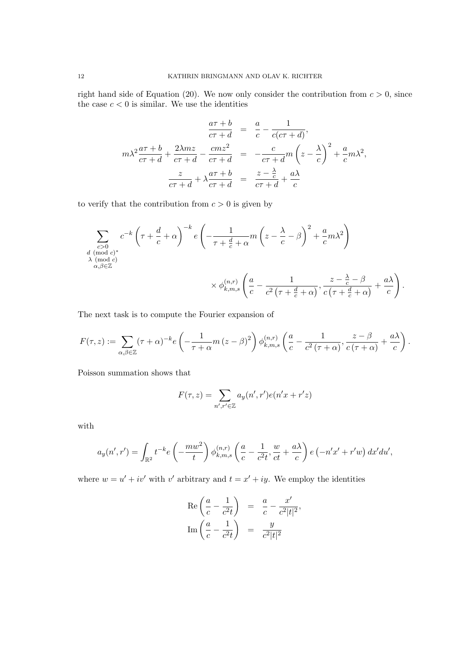right hand side of Equation (20). We now only consider the contribution from  $c > 0$ , since the case  $c < 0$  is similar. We use the identities

$$
\frac{a\tau + b}{c\tau + d} = \frac{a}{c} - \frac{1}{c(c\tau + d)},
$$

$$
m\lambda^2 \frac{a\tau + b}{c\tau + d} + \frac{2\lambda mz}{c\tau + d} - \frac{cmz^2}{c\tau + d} = -\frac{c}{c\tau + d}m\left(z - \frac{\lambda}{c}\right)^2 + \frac{a}{c}m\lambda^2,
$$

$$
\frac{z}{c\tau + d} + \lambda \frac{a\tau + b}{c\tau + d} = \frac{z - \frac{\lambda}{c}}{c\tau + d} + \frac{a\lambda}{c}
$$

to verify that the contribution from  $c > 0$  is given by

$$
\sum_{\substack{c>0\\d \pmod{c}\\ \lambda \pmod{c}\\ \alpha,\beta \in \mathbb{Z}}} c^{-k} \left(\tau + \frac{d}{c} + \alpha\right)^{-k} e\left(-\frac{1}{\tau + \frac{d}{c} + \alpha} m\left(z - \frac{\lambda}{c} - \beta\right)^2 + \frac{a}{c} m \lambda^2\right) \times \phi_{k,m,s}^{(n,r)} \left(\frac{a}{c} - \frac{1}{c^2 \left(\tau + \frac{d}{c} + \alpha\right)}, \frac{z - \frac{\lambda}{c} - \beta}{c \left(\tau + \frac{d}{c} + \alpha\right)} + \frac{a\lambda}{c}\right).
$$

The next task is to compute the Fourier expansion of

$$
F(\tau, z) := \sum_{\alpha, \beta \in \mathbb{Z}} (\tau + \alpha)^{-k} e\left(-\frac{1}{\tau + \alpha} m (z - \beta)^2\right) \phi_{k,m,s}^{(n,r)}\left(\frac{a}{c} - \frac{1}{c^2 (\tau + \alpha)}, \frac{z - \beta}{c (\tau + \alpha)} + \frac{a\lambda}{c}\right).
$$

Poisson summation shows that

$$
F(\tau,z)=\sum_{n',r'\in\mathbb{Z}}a_y(n',r')e(n'x+r'z)
$$

with

$$
a_y(n',r') = \int_{\mathbb{R}^2} t^{-k} e\left(-\frac{mw^2}{t}\right) \phi_{k,m,s}^{(n,r)}\left(\frac{a}{c} - \frac{1}{c^2t}, \frac{w}{ct} + \frac{a\lambda}{c}\right) e\left(-n'x' + r'w\right) dx'du',
$$

where  $w = u' + iv'$  with v' arbitrary and  $t = x' + iy$ . We employ the identities

$$
\operatorname{Re}\left(\frac{a}{c} - \frac{1}{c^2t}\right) = \frac{a}{c} - \frac{x'}{c^2|t|^2},
$$
  

$$
\operatorname{Im}\left(\frac{a}{c} - \frac{1}{c^2t}\right) = \frac{y}{c^2|t|^2}
$$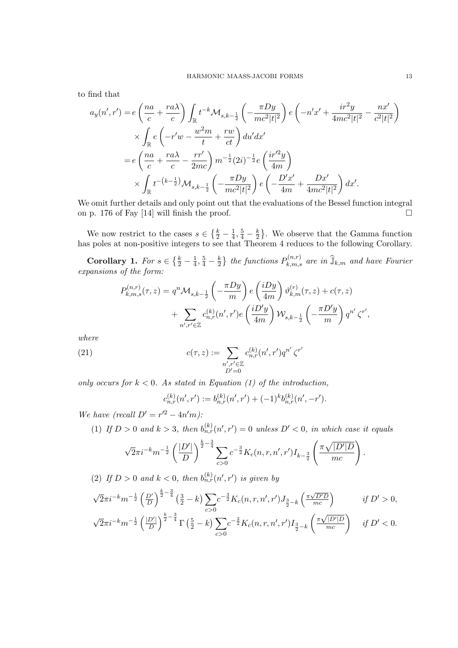to find that

$$
a_y(n',r') = e\left(\frac{na}{c} + \frac{ra\lambda}{c}\right) \int_{\mathbb{R}} t^{-k} \mathcal{M}_{s,k-\frac{1}{2}}\left(-\frac{\pi Dy}{mc^2|t|^2}\right) e\left(-n'x' + \frac{ir^2y}{4mc^2|t|^2} - \frac{nx'}{c^2|t|^2}\right) \times \int_{\mathbb{R}} e\left(-r'w - \frac{w^2m}{t} + \frac{rw}{ct}\right) du'dx' = e\left(\frac{na}{c} + \frac{ra\lambda}{c} - \frac{rr'}{2mc}\right) m^{-\frac{1}{2}}(2i)^{-\frac{1}{2}} e\left(\frac{ir'^2y}{4m}\right) \times \int_{\mathbb{R}} t^{-(k-\frac{1}{2})} \mathcal{M}_{s,k-\frac{1}{2}}\left(-\frac{\pi Dy}{mc^2|t|^2}\right) e\left(-\frac{D'x'}{4m} + \frac{Dx'}{4mc^2|t|^2}\right) dx'.
$$

We omit further details and only point out that the evaluations of the Bessel function integral on p. 176 of Fay [14] will finish the proof.  $\square$ 

We now restrict to the cases  $s \in \left\{\frac{k}{2} - \frac{1}{4}\right\}$  $\frac{1}{4}, \frac{5}{4} - \frac{k}{2}$  $\frac{k}{2}$ . We observe that the Gamma function has poles at non-positive integers to see that Theorem 4 reduces to the following Corollary.

Corollary 1. For  $s \in \left\{\frac{k}{2} - \frac{1}{4}\right\}$  $\frac{1}{4}, \frac{5}{4} - \frac{k}{2}$  $\frac{k}{2}$ } the functions  $P_{k,m,s}^{(n,r)}$  are in  $\widehat{\mathbb{J}}_{k,m}$  and have Fourier expansions of the form:

$$
P_{k,m,s}^{(n,r)}(\tau,z) = q^n \mathcal{M}_{s,k-\frac{1}{2}}\left(-\frac{\pi D y}{m}\right) e\left(\frac{i D y}{4 m}\right) \vartheta_{k,m}^{(r)}(\tau,z) + c(\tau,z) + \sum_{n',r' \in \mathbb{Z}} c_{n,r}^{(k)}(n',r') e\left(\frac{i D' y}{4 m}\right) \mathcal{W}_{s,k-\frac{1}{2}}\left(-\frac{\pi D' y}{m}\right) q^{n'} \zeta^{r'},
$$

where

(21) 
$$
c(\tau, z) := \sum_{\substack{n', r' \in \mathbb{Z} \\ D' = 0}} c_{n, r}^{(k)}(n', r') q^{n'} \zeta^{r'}
$$

only occurs for  $k < 0$ . As stated in Equation (1) of the introduction,

$$
c_{n,r}^{(k)}(n',r') := b_{n,r}^{(k)}(n',r') + (-1)^k b_{n,r}^{(k)}(n',-r').
$$

We have (recall  $D' = r'^2 - 4n'm$ ):

(1) If  $D > 0$  and  $k > 3$ , then  $b_{n,r}^{(k)}(n',r') = 0$  unless  $D' < 0$ , in which case it equals

$$
\sqrt{2\pi i}^{-k} m^{-\frac{1}{2}} \left(\frac{|D'|}{D}\right)^{\frac{k}{2}-\frac{3}{4}} \sum_{c>0} c^{-\frac{3}{2}} K_c(n,r,n',r') I_{k-\frac{3}{2}} \left(\frac{\pi \sqrt{|D'|D}}{mc}\right).
$$

(2) If  $D > 0$  and  $k < 0$ , then  $b_{n,r}^{(k)}(n',r')$  is given by

$$
\sqrt{2}\pi i^{-k} m^{-\frac{1}{2}} \left(\frac{D'}{D}\right)^{\frac{k}{2}-\frac{3}{4}} \left(\frac{3}{2}-k\right) \sum_{c>0} c^{-\frac{3}{2}} K_c(n,r,n',r') J_{\frac{3}{2}-k} \left(\frac{\pi \sqrt{D'D}}{mc}\right) \qquad \text{if } D' > 0,
$$
  

$$
\sqrt{2}\pi i^{-k} m^{-\frac{1}{2}} \left(\frac{|D'|}{D}\right)^{\frac{k}{2}-\frac{3}{4}} \Gamma\left(\frac{5}{2}-k\right) \sum_{c>0} c^{-\frac{3}{2}} K_c(n,r,n',r') I_{\frac{3}{2}-k} \left(\frac{\pi \sqrt{|D'|D}}{mc}\right) \qquad \text{if } D' < 0.
$$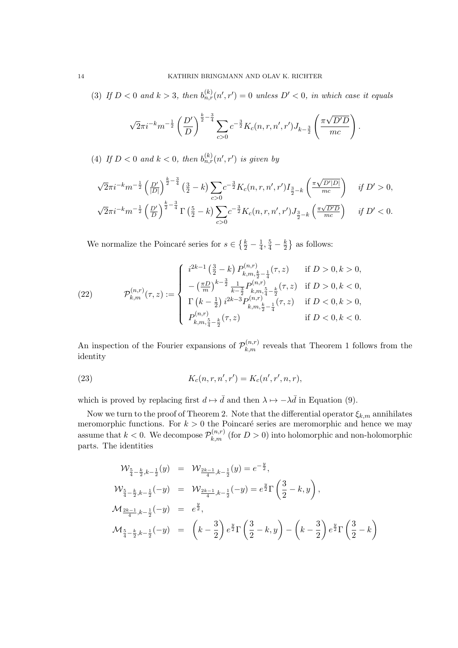(3) If  $D < 0$  and  $k > 3$ , then  $b_{n,r}^{(k)}(n',r') = 0$  unless  $D' < 0$ , in which case it equals

$$
\sqrt{2}\pi i^{-k} m^{-\frac{1}{2}} \left(\frac{D'}{D}\right)^{\frac{k}{2}-\frac{3}{4}} \sum_{c>0} c^{-\frac{3}{2}} K_c(n,r,n',r') J_{k-\frac{3}{2}} \left(\frac{\pi \sqrt{D'D}}{mc}\right).
$$

(4) If  $D < 0$  and  $k < 0$ , then  $b_{n,r}^{(k)}(n',r')$  is given by

$$
\sqrt{2}\pi i^{-k}m^{-\frac{1}{2}}\left(\frac{D'}{|D|}\right)^{\frac{k}{2}-\frac{3}{4}}\left(\frac{3}{2}-k\right)\sum_{c>0}c^{-\frac{3}{2}}K_c(n,r,n',r')I_{\frac{3}{2}-k}\left(\frac{\pi\sqrt{D'|D|}}{mc}\right) \quad \text{if } D' > 0,
$$
  

$$
\sqrt{2}\pi i^{-k}m^{-\frac{1}{2}}\left(\frac{D'}{D}\right)^{\frac{k}{2}-\frac{3}{4}}\Gamma\left(\frac{5}{2}-k\right)\sum_{c>0}c^{-\frac{3}{2}}K_c(n,r,n',r')J_{\frac{3}{2}-k}\left(\frac{\pi\sqrt{D'D}}{mc}\right) \quad \text{if } D' < 0.
$$

We normalize the Poincaré series for  $s \in \left\{\frac{k}{2} - \frac{1}{4}\right\}$  $\frac{1}{4}, \frac{5}{4} - \frac{k}{2}$  $\frac{k}{2}$  as follows:

(22) 
$$
\mathcal{P}_{k,m}^{(n,r)}(\tau,z) := \begin{cases} i^{2k-1} \left(\frac{3}{2} - k\right) P_{k,m,\frac{k}{2} - \frac{1}{4}}^{(n,r)}(\tau,z) & \text{if } D > 0, k > 0, \\ -\left(\frac{\pi D}{m}\right)^{k-\frac{3}{2}} \frac{1}{k-\frac{3}{2}} P_{k,m,\frac{5}{4} - \frac{k}{2}}^{(n,r)}(\tau,z) & \text{if } D > 0, k < 0, \\ \Gamma\left(k-\frac{1}{2}\right) i^{2k-3} P_{k,m,\frac{k}{2} - \frac{1}{4}}^{(n,r)}(\tau,z) & \text{if } D < 0, k > 0, \\ P_{k,m,\frac{5}{4} - \frac{k}{2}}^{(n,r)}(\tau,z) & \text{if } D < 0, k < 0. \end{cases}
$$

An inspection of the Fourier expansions of  $\mathcal{P}_{k,m}^{(n,r)}$  reveals that Theorem 1 follows from the identity

(23) 
$$
K_c(n, r, n', r') = K_c(n', r', n, r),
$$

which is proved by replacing first  $d \mapsto \bar{d}$  and then  $\lambda \mapsto -\lambda \bar{d}$  in Equation (9).

Now we turn to the proof of Theorem 2. Note that the differential operator  $\xi_{k,m}$  annihilates meromorphic functions. For  $k > 0$  the Poincaré series are meromorphic and hence we may assume that  $k < 0$ . We decompose  $\mathcal{P}_{k,m}^{(n,r)}$  (for  $D > 0$ ) into holomorphic and non-holomorphic parts. The identities

$$
\mathcal{W}_{\frac{5}{4} - \frac{k}{2}, k - \frac{1}{2}}(y) = \mathcal{W}_{\frac{2k-1}{4}, k - \frac{1}{2}}(y) = e^{-\frac{y}{2}},
$$
\n
$$
\mathcal{W}_{\frac{5}{4} - \frac{k}{2}, k - \frac{1}{2}}(-y) = \mathcal{W}_{\frac{2k-1}{4}, k - \frac{1}{2}}(-y) = e^{\frac{y}{2}} \Gamma\left(\frac{3}{2} - k, y\right),
$$
\n
$$
\mathcal{M}_{\frac{2k-1}{4}, k - \frac{1}{2}}(-y) = e^{\frac{y}{2}},
$$
\n
$$
\mathcal{M}_{\frac{5}{4} - \frac{k}{2}, k - \frac{1}{2}}(-y) = \left(k - \frac{3}{2}\right) e^{\frac{y}{2}} \Gamma\left(\frac{3}{2} - k, y\right) - \left(k - \frac{3}{2}\right) e^{\frac{y}{2}} \Gamma\left(\frac{3}{2} - k\right)
$$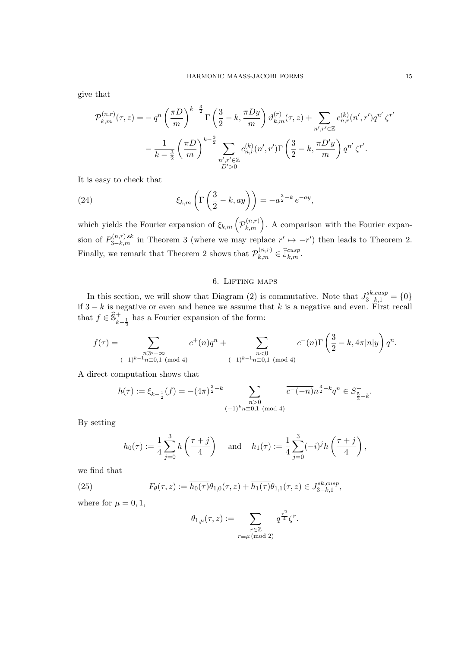give that

$$
\mathcal{P}_{k,m}^{(n,r)}(\tau,z) = -q^n \left(\frac{\pi D}{m}\right)^{k-\frac{3}{2}} \Gamma\left(\frac{3}{2} - k, \frac{\pi Dy}{m}\right) \vartheta_{k,m}^{(r)}(\tau,z) + \sum_{n',r' \in \mathbb{Z}} c_{n,r}^{(k)}(n',r') q^{n'} \zeta^{r'}
$$

$$
-\frac{1}{k-\frac{3}{2}} \left(\frac{\pi D}{m}\right)^{k-\frac{3}{2}} \sum_{\substack{n',r' \in \mathbb{Z} \\ D' > 0}} c_{n,r}^{(k)}(n',r') \Gamma\left(\frac{3}{2} - k, \frac{\pi D'y}{m}\right) q^{n'} \zeta^{r'}.
$$

It is easy to check that

(24) 
$$
\xi_{k,m}\left(\Gamma\left(\frac{3}{2}-k,ay\right)\right)=-a^{\frac{3}{2}-k}e^{-ay},
$$

which yields the Fourier expansion of  $\xi_{k,m}$   $(\mathcal{P}_{k,m}^{(n,r)})$ . A comparison with the Fourier expansion of  $P_{3-k,m}^{(n,r)sk}$  in Theorem 3 (where we may replace  $r' \mapsto -r'$ ) then leads to Theorem 2. Finally, we remark that Theorem 2 shows that  $\mathcal{P}_{k,m}^{(n,r)} \in \widehat{\mathbb{J}}_{k,m}^{cusp}$ .

### 6. Lifting maps

In this section, we will show that Diagram (2) is commutative. Note that  $J_{3-k,1}^{sk,cusp} = \{0\}$ if  $3 - k$  is negative or even and hence we assume that k is a negative and even. First recall that  $f \in \widehat{S}_{k-\frac{1}{2}}^+$  has a Fourier expansion of the form:

$$
f(\tau) = \sum_{\substack{n \gg -\infty \\ (-1)^{k-1}n \equiv 0,1 \pmod{4}}} c^+(n)q^n + \sum_{\substack{n < 0 \\ (-1)^{k-1}n \equiv 0,1 \pmod{4}}} c^-(n)\Gamma\left(\frac{3}{2} - k, 4\pi|n|y\right)q^n.
$$

A direct computation shows that

$$
h(\tau) := \xi_{k-\frac{1}{2}}(f) = -(4\pi)^{\frac{3}{2}-k} \sum_{\substack{n>0 \ (1) \, k \, n \equiv 0,1 \pmod{4}}} \overline{c^{-}(-n)} n^{\frac{3}{2}-k} q^n \in S^+_{\frac{5}{2}-k}.
$$

By setting

$$
h_0(\tau) := \frac{1}{4} \sum_{j=0}^3 h\left(\frac{\tau + j}{4}\right) \quad \text{and} \quad h_1(\tau) := \frac{1}{4} \sum_{j=0}^3 (-i)^j h\left(\frac{\tau + j}{4}\right),
$$

we find that

(25) 
$$
F_{\theta}(\tau, z) := \overline{h_0(\tau)} \theta_{1,0}(\tau, z) + \overline{h_1(\tau)} \theta_{1,1}(\tau, z) \in J_{3-k,1}^{sk,cusp},
$$

where for  $\mu = 0, 1$ ,

$$
\theta_{1,\mu}(\tau,z) := \sum_{\substack{r \in \mathbb{Z} \\ r \equiv \mu \pmod{2}}} q^{\frac{r^2}{4}} \zeta^r.
$$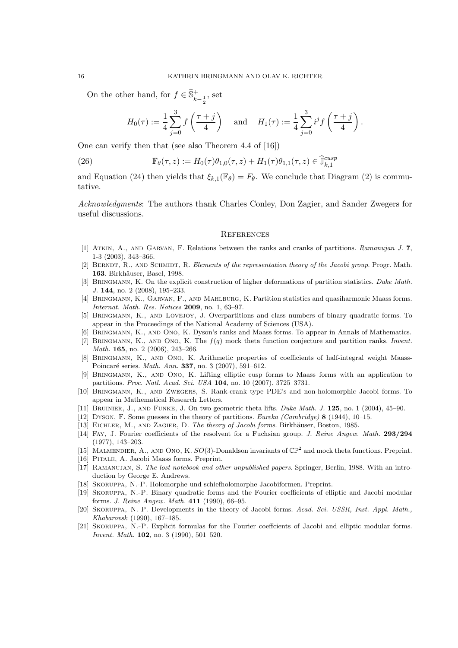On the other hand, for  $f \in \widehat{\mathbb{S}}_{k-\frac{1}{2}}^+$ , set

$$
H_0(\tau) := \frac{1}{4} \sum_{j=0}^3 f\left(\frac{\tau + j}{4}\right)
$$
 and  $H_1(\tau) := \frac{1}{4} \sum_{j=0}^3 i^j f\left(\frac{\tau + j}{4}\right)$ .

One can verify then that (see also Theorem 4.4 of [16])

(26) 
$$
\mathbb{F}_{\theta}(\tau, z) := H_0(\tau) \theta_{1,0}(\tau, z) + H_1(\tau) \theta_{1,1}(\tau, z) \in \hat{\mathbb{J}}_{k,1}^{cusp}
$$

and Equation (24) then yields that  $\xi_{k,1}(\mathbb{F}_{\theta}) = F_{\theta}$ . We conclude that Diagram (2) is commutative.

Acknowledgments: The authors thank Charles Conley, Don Zagier, and Sander Zwegers for useful discussions.

#### **REFERENCES**

- [1] Atkin, A., and Garvan, F. Relations between the ranks and cranks of partitions. Ramanujan J. 7, 1-3 (2003), 343–366.
- [2] BERNDT, R., AND SCHMIDT, R. Elements of the representation theory of the Jacobi group. Progr. Math. 163. Birkhäuser, Basel, 1998.
- [3] BRINGMANN, K. On the explicit construction of higher deformations of partition statistics. Duke Math. J. 144, no. 2 (2008), 195–233.
- [4] Bringmann, K., Garvan, F., and Mahlburg, K. Partition statistics and quasiharmonic Maass forms. Internat. Math. Res. Notices 2009, no. 1, 63–97.
- [5] Bringmann, K., and Lovejoy, J. Overpartitions and class numbers of binary quadratic forms. To appear in the Proceedings of the National Academy of Sciences (USA).
- [6] Bringmann, K., and Ono, K. Dyson's ranks and Maass forms. To appear in Annals of Mathematics.
- [7] BRINGMANN, K., AND ONO, K. The  $f(q)$  mock theta function conjecture and partition ranks. Invent. Math. **165**, no. 2 (2006), 243-266.
- [8] Bringmann, K., and Ono, K. Arithmetic properties of coefficients of half-integral weight Maass-Poincaré series. Math. Ann. 337, no. 3 (2007), 591–612.
- [9] Bringmann, K., and Ono, K. Lifting elliptic cusp forms to Maass forms with an application to partitions. Proc. Natl. Acad. Sci. USA 104, no. 10 (2007), 3725–3731.
- [10] Bringmann, K., and Zwegers, S. Rank-crank type PDE's and non-holomorphic Jacobi forms. To appear in Mathematical Research Letters.
- [11] Bruinier, J., and Funke, J. On two geometric theta lifts. Duke Math. J. 125, no. 1 (2004), 45–90.
- [12] Dyson, F. Some guesses in the theory of partitions. Eureka (Cambridge) 8 (1944), 10–15.
- [13] EICHLER, M., AND ZAGIER, D. The theory of Jacobi forms. Birkhäuser, Boston, 1985.
- [14] FAY, J. Fourier coefficients of the resolvent for a Fuchsian group. J. Reine Angew. Math. 293/294 (1977), 143–203.
- [15] MALMENDIER, A., AND ONO, K.  $SO(3)$ -Donaldson invariants of  $\mathbb{CP}^2$  and mock theta functions. Preprint.
- [16] Pitale, A. Jacobi Maass forms. Preprint.
- [17] Ramanujan, S. The lost notebook and other unpublished papers. Springer, Berlin, 1988. With an introduction by George E. Andrews.
- [18] Skoruppa, N.-P. Holomorphe und schiefholomorphe Jacobiformen. Preprint.
- [19] Skoruppa, N.-P. Binary quadratic forms and the Fourier coefficients of elliptic and Jacobi modular forms. J. Reine Angew. Math. 411 (1990), 66–95.
- [20] SKORUPPA, N.-P. Developments in the theory of Jacobi forms. Acad. Sci. USSR, Inst. Appl. Math., Khabarovsk (1990), 167–185.
- [21] Skoruppa, N.-P. Explicit formulas for the Fourier coeffcients of Jacobi and elliptic modular forms. Invent. Math. 102, no. 3 (1990), 501–520.